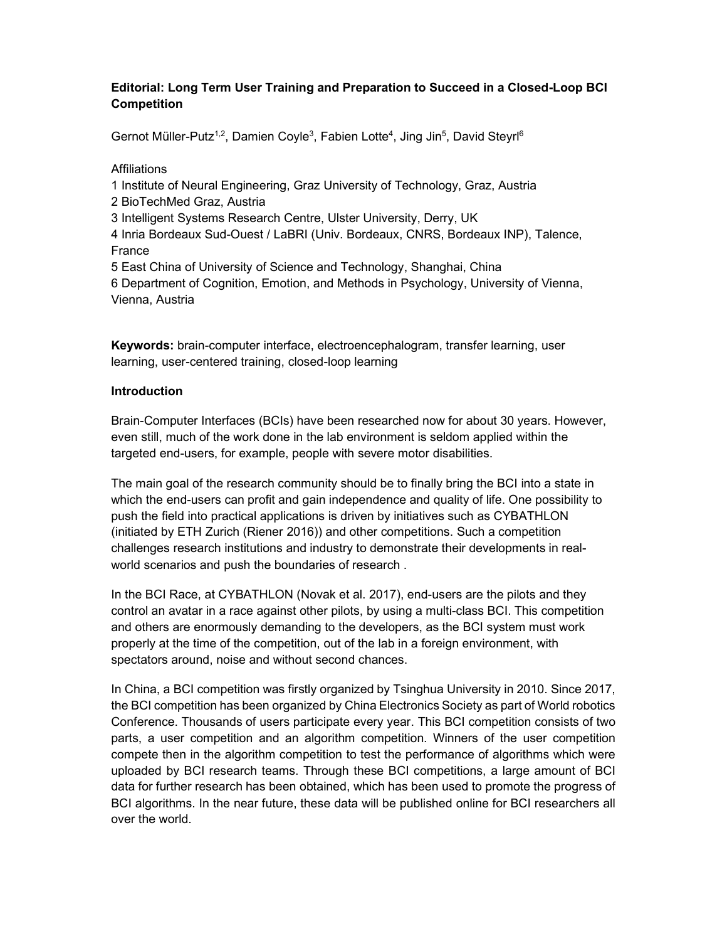# Editorial: Long Term User Training and Preparation to Succeed in a Closed-Loop BCI Competition

Gernot Müller-Putz<sup>1,2</sup>, Damien Coyle<sup>3</sup>, Fabien Lotte<sup>4</sup>, Jing Jin<sup>5</sup>, David Steyrl<sup>6</sup>

### **Affiliations**

1 Institute of Neural Engineering, Graz University of Technology, Graz, Austria 2 BioTechMed Graz, Austria 3 Intelligent Systems Research Centre, Ulster University, Derry, UK 4 Inria Bordeaux Sud-Ouest / LaBRI (Univ. Bordeaux, CNRS, Bordeaux INP), Talence, France 5 East China of University of Science and Technology, Shanghai, China 6 Department of Cognition, Emotion, and Methods in Psychology, University of Vienna, Vienna, Austria

Keywords: brain-computer interface, electroencephalogram, transfer learning, user learning, user-centered training, closed-loop learning

### Introduction

Brain-Computer Interfaces (BCIs) have been researched now for about 30 years. However, even still, much of the work done in the lab environment is seldom applied within the targeted end-users, for example, people with severe motor disabilities.

The main goal of the research community should be to finally bring the BCI into a state in which the end-users can profit and gain independence and quality of life. One possibility to push the field into practical applications is driven by initiatives such as CYBATHLON (initiated by ETH Zurich (Riener 2016)) and other competitions. Such a competition challenges research institutions and industry to demonstrate their developments in realworld scenarios and push the boundaries of research .

In the BCI Race, at CYBATHLON (Novak et al. 2017), end-users are the pilots and they control an avatar in a race against other pilots, by using a multi-class BCI. This competition and others are enormously demanding to the developers, as the BCI system must work properly at the time of the competition, out of the lab in a foreign environment, with spectators around, noise and without second chances.

In China, a BCI competition was firstly organized by Tsinghua University in 2010. Since 2017, the BCI competition has been organized by China Electronics Society as part of World robotics Conference. Thousands of users participate every year. This BCI competition consists of two parts, a user competition and an algorithm competition. Winners of the user competition compete then in the algorithm competition to test the performance of algorithms which were uploaded by BCI research teams. Through these BCI competitions, a large amount of BCI data for further research has been obtained, which has been used to promote the progress of BCI algorithms. In the near future, these data will be published online for BCI researchers all over the world.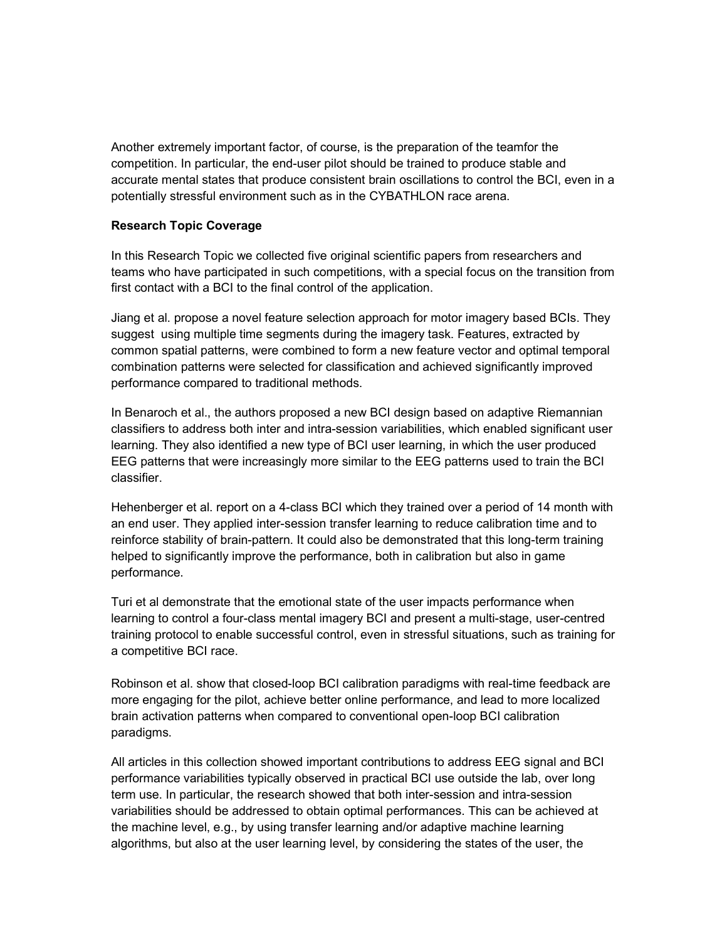Another extremely important factor, of course, is the preparation of the teamfor the competition. In particular, the end-user pilot should be trained to produce stable and accurate mental states that produce consistent brain oscillations to control the BCI, even in a potentially stressful environment such as in the CYBATHLON race arena.

# Research Topic Coverage

In this Research Topic we collected five original scientific papers from researchers and teams who have participated in such competitions, with a special focus on the transition from first contact with a BCI to the final control of the application.

Jiang et al. propose a novel feature selection approach for motor imagery based BCIs. They suggest using multiple time segments during the imagery task. Features, extracted by common spatial patterns, were combined to form a new feature vector and optimal temporal combination patterns were selected for classification and achieved significantly improved performance compared to traditional methods.

In Benaroch et al., the authors proposed a new BCI design based on adaptive Riemannian classifiers to address both inter and intra-session variabilities, which enabled significant user learning. They also identified a new type of BCI user learning, in which the user produced EEG patterns that were increasingly more similar to the EEG patterns used to train the BCI classifier.

Hehenberger et al. report on a 4-class BCI which they trained over a period of 14 month with an end user. They applied inter-session transfer learning to reduce calibration time and to reinforce stability of brain-pattern. It could also be demonstrated that this long-term training helped to significantly improve the performance, both in calibration but also in game performance.

Turi et al demonstrate that the emotional state of the user impacts performance when learning to control a four-class mental imagery BCI and present a multi-stage, user-centred training protocol to enable successful control, even in stressful situations, such as training for a competitive BCI race.

Robinson et al. show that closed-loop BCI calibration paradigms with real-time feedback are more engaging for the pilot, achieve better online performance, and lead to more localized brain activation patterns when compared to conventional open-loop BCI calibration paradigms.

All articles in this collection showed important contributions to address EEG signal and BCI performance variabilities typically observed in practical BCI use outside the lab, over long term use. In particular, the research showed that both inter-session and intra-session variabilities should be addressed to obtain optimal performances. This can be achieved at the machine level, e.g., by using transfer learning and/or adaptive machine learning algorithms, but also at the user learning level, by considering the states of the user, the